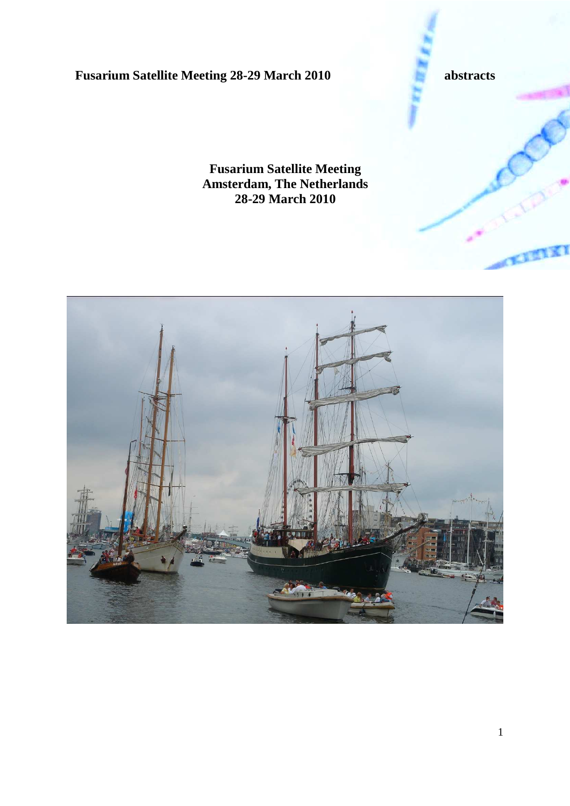

**Fusarium Satellite Meeting Amsterdam, The Netherlands 28-29 March 2010** 

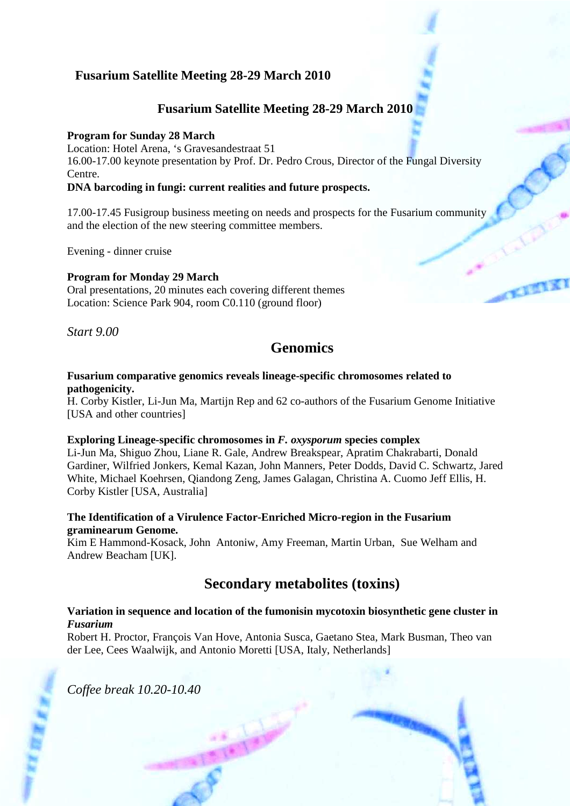## **Fusarium Satellite Meeting 28-29 March 2010**

## **Fusarium Satellite Meeting 28-29 March 2010**

## **Program for Sunday 28 March**

Location: Hotel Arena, 's Gravesandestraat 51

16.00-17.00 keynote presentation by Prof. Dr. Pedro Crous, Director of the Fungal Diversity Centre.

### **DNA barcoding in fungi: current realities and future prospects.**

17.00-17.45 Fusigroup business meeting on needs and prospects for the Fusarium community and the election of the new steering committee members.

Evening - dinner cruise

### **Program for Monday 29 March**

Oral presentations, 20 minutes each covering different themes Location: Science Park 904, room C0.110 (ground floor)

*Start 9.00* 

# **Genomics**

### **Fusarium comparative genomics reveals lineage-specific chromosomes related to pathogenicity.**

H. Corby Kistler, Li-Jun Ma, Martijn Rep and 62 co-authors of the Fusarium Genome Initiative [USA and other countries]

### **Exploring Lineage-specific chromosomes in** *F. oxysporum* **species complex**

Li-Jun Ma, Shiguo Zhou, Liane R. Gale, Andrew Breakspear, Apratim Chakrabarti, Donald Gardiner, Wilfried Jonkers, Kemal Kazan, John Manners, Peter Dodds, David C. Schwartz, Jared White, Michael Koehrsen, Qiandong Zeng, James Galagan, Christina A. Cuomo Jeff Ellis, H. Corby Kistler [USA, Australia]

### **The Identification of a Virulence Factor-Enriched Micro-region in the Fusarium graminearum Genome.**

Kim E Hammond-Kosack, John Antoniw, Amy Freeman, Martin Urban, Sue Welham and Andrew Beacham [UK].

# **Secondary metabolites (toxins)**

### **Variation in sequence and location of the fumonisin mycotoxin biosynthetic gene cluster in**  *Fusarium*

Robert H. Proctor, François Van Hove, Antonia Susca, Gaetano Stea, Mark Busman, Theo van der Lee, Cees Waalwijk, and Antonio Moretti [USA, Italy, Netherlands]

*Coffee break 10.20-10.40*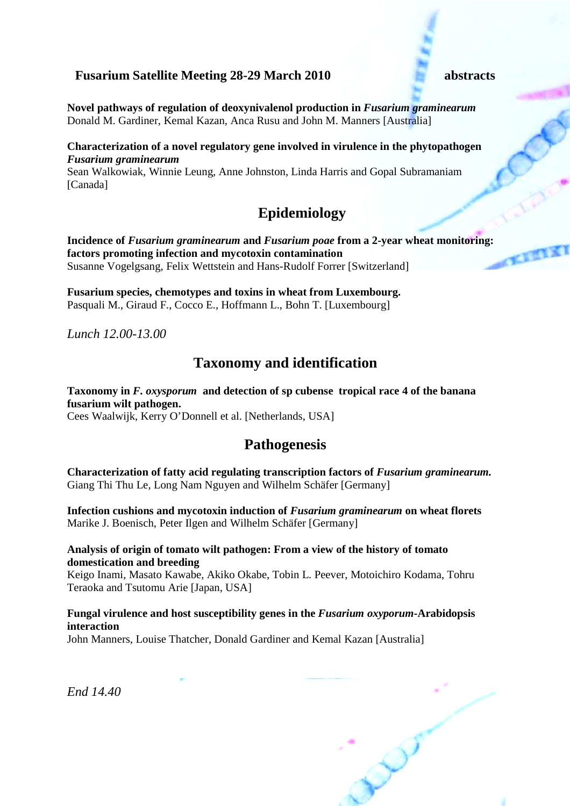**Novel pathways of regulation of deoxynivalenol production in** *Fusarium graminearum* Donald M. Gardiner, Kemal Kazan, Anca Rusu and John M. Manners [Australia]

### **Characterization of a novel regulatory gene involved in virulence in the phytopathogen**  *Fusarium graminearum*

Sean Walkowiak, Winnie Leung, Anne Johnston, Linda Harris and Gopal Subramaniam [Canada]

# **Epidemiology**

**Incidence of** *Fusarium graminearum* **and** *Fusarium poae* **from a 2-year wheat monitoring: factors promoting infection and mycotoxin contamination**  Susanne Vogelgsang, Felix Wettstein and Hans-Rudolf Forrer [Switzerland]

**Fusarium species, chemotypes and toxins in wheat from Luxembourg.**  Pasquali M., Giraud F., Cocco E., Hoffmann L., Bohn T. [Luxembourg]

*Lunch 12.00-13.00* 

# **Taxonomy and identification**

## **Taxonomy in** *F. oxysporum* **and detection of sp cubense tropical race 4 of the banana fusarium wilt pathogen.**

Cees Waalwijk, Kerry O'Donnell et al. [Netherlands, USA]

## **Pathogenesis**

**Characterization of fatty acid regulating transcription factors of** *Fusarium graminearum.* Giang Thi Thu Le, Long Nam Nguyen and Wilhelm Schäfer [Germany]

**Infection cushions and mycotoxin induction of** *Fusarium graminearum* **on wheat florets**  Marike J. Boenisch, Peter Ilgen and Wilhelm Schäfer [Germany]

### **Analysis of origin of tomato wilt pathogen: From a view of the history of tomato domestication and breeding**

Keigo Inami, Masato Kawabe, Akiko Okabe, Tobin L. Peever, Motoichiro Kodama, Tohru Teraoka and Tsutomu Arie [Japan, USA]

### **Fungal virulence and host susceptibility genes in the** *Fusarium oxyporum***-Arabidopsis interaction**

John Manners, Louise Thatcher, Donald Gardiner and Kemal Kazan [Australia]

*End 14.40*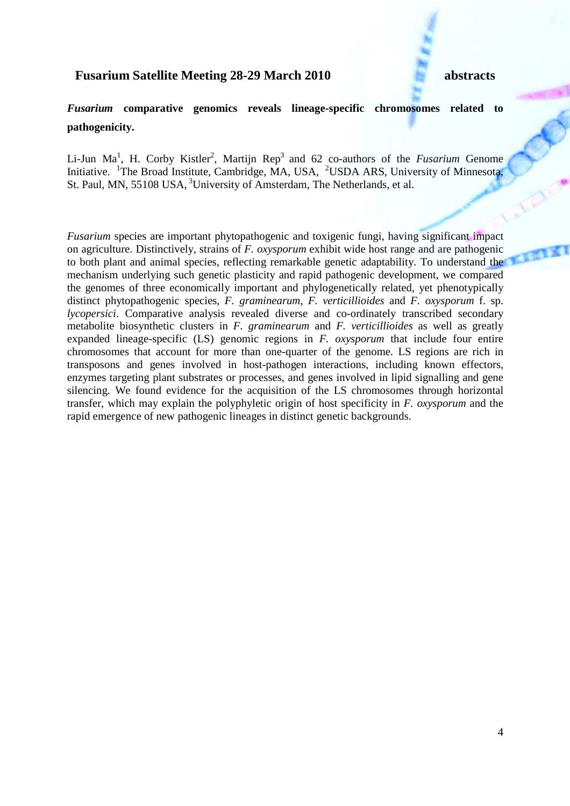## *Fusarium* **comparative genomics reveals lineage-specific chromosomes related to pathogenicity.**

Li-Jun Ma<sup>1</sup>, H. Corby Kistler<sup>2</sup>, Martijn Rep<sup>3</sup> and 62 co-authors of the *Fusarium* Genome Initiative. <sup>1</sup>The Broad Institute, Cambridge, MA, USA, <sup>2</sup>USDA ARS, University of Minnesota, St. Paul, MN, 55108 USA, <sup>3</sup>University of Amsterdam, The Netherlands, et al.

*Fusarium* species are important phytopathogenic and toxigenic fungi, having significant impact on agriculture. Distinctively, strains of *F. oxysporum* exhibit wide host range and are pathogenic to both plant and animal species, reflecting remarkable genetic adaptability. To understand the mechanism underlying such genetic plasticity and rapid pathogenic development, we compared the genomes of three economically important and phylogenetically related, yet phenotypically distinct phytopathogenic species, *F. graminearum*, *F. verticillioides* and *F. oxysporum* f. sp. *lycopersici*. Comparative analysis revealed diverse and co-ordinately transcribed secondary metabolite biosynthetic clusters in *F. graminearum* and *F. verticillioides* as well as greatly expanded lineage-specific (LS) genomic regions in *F. oxysporum* that include four entire chromosomes that account for more than one-quarter of the genome. LS regions are rich in transposons and genes involved in host-pathogen interactions, including known effectors, enzymes targeting plant substrates or processes, and genes involved in lipid signalling and gene silencing. We found evidence for the acquisition of the LS chromosomes through horizontal transfer, which may explain the polyphyletic origin of host specificity in *F. oxysporum* and the rapid emergence of new pathogenic lineages in distinct genetic backgrounds.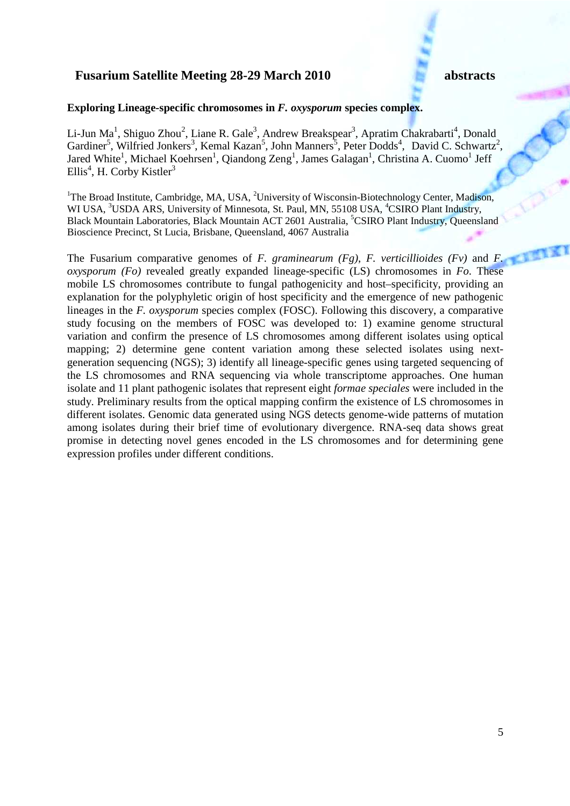### **Exploring Lineage-specific chromosomes in** *F. oxysporum* **species complex.**

Li-Jun Ma<sup>1</sup>, Shiguo Zhou<sup>2</sup>, Liane R. Gale<sup>3</sup>, Andrew Breakspear<sup>3</sup>, Apratim Chakrabarti<sup>4</sup>, Donald Gardiner<sup>5</sup>, Wilfried Jonkers<sup>3</sup>, Kemal Kazan<sup>5</sup>, John Manners<sup>5</sup>, Peter Dodds<sup>4</sup>, David C. Schwartz<sup>2</sup>, Jared White<sup>1</sup>, Michael Koehrsen<sup>1</sup>, Qiandong Zeng<sup>1</sup>, James Galagan<sup>1</sup>, Christina A. Cuomo<sup>1</sup> Jeff Ellis<sup>4</sup>, H. Corby Kistler<sup>3</sup>

<sup>1</sup>The Broad Institute, Cambridge, MA, USA, <sup>2</sup>University of Wisconsin-Biotechnology Center, Madison, WI USA, <sup>3</sup>USDA ARS, University of Minnesota, St. Paul, MN, 55108 USA, <sup>4</sup>CSIRO Plant Industry, Black Mountain Laboratories, Black Mountain ACT 2601 Australia, <sup>5</sup>CSIRO Plant Industry, Queensland Bioscience Precinct, St Lucia, Brisbane, Queensland, 4067 Australia

The Fusarium comparative genomes of *F. graminearum (Fg)*, *F. verticillioides (Fv)* and *F. oxysporum (Fo)* revealed greatly expanded lineage-specific (LS) chromosomes in *Fo*. These mobile LS chromosomes contribute to fungal pathogenicity and host–specificity, providing an explanation for the polyphyletic origin of host specificity and the emergence of new pathogenic lineages in the *F. oxysporum* species complex (FOSC). Following this discovery, a comparative study focusing on the members of FOSC was developed to: 1) examine genome structural variation and confirm the presence of LS chromosomes among different isolates using optical mapping; 2) determine gene content variation among these selected isolates using nextgeneration sequencing (NGS); 3) identify all lineage-specific genes using targeted sequencing of the LS chromosomes and RNA sequencing via whole transcriptome approaches. One human isolate and 11 plant pathogenic isolates that represent eight *formae speciales* were included in the study. Preliminary results from the optical mapping confirm the existence of LS chromosomes in different isolates. Genomic data generated using NGS detects genome-wide patterns of mutation among isolates during their brief time of evolutionary divergence. RNA-seq data shows great promise in detecting novel genes encoded in the LS chromosomes and for determining gene expression profiles under different conditions.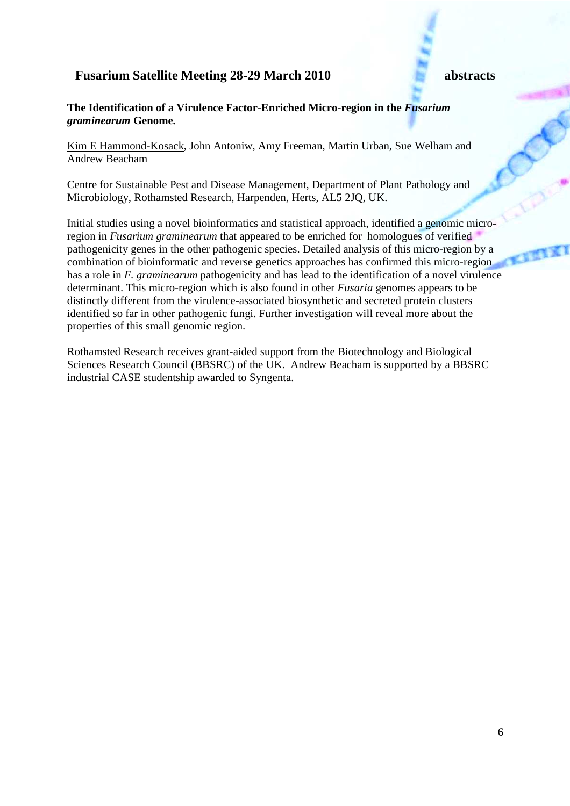### **The Identification of a Virulence Factor-Enriched Micro-region in the** *Fusarium graminearum* **Genome.**

Kim E Hammond-Kosack, John Antoniw, Amy Freeman, Martin Urban, Sue Welham and Andrew Beacham

Centre for Sustainable Pest and Disease Management, Department of Plant Pathology and Microbiology, Rothamsted Research, Harpenden, Herts, AL5 2JQ, UK.

Initial studies using a novel bioinformatics and statistical approach, identified a genomic microregion in *Fusarium graminearum* that appeared to be enriched for homologues of verified pathogenicity genes in the other pathogenic species. Detailed analysis of this micro-region by a combination of bioinformatic and reverse genetics approaches has confirmed this micro-region has a role in *F. graminearum* pathogenicity and has lead to the identification of a novel virulence determinant. This micro-region which is also found in other *Fusaria* genomes appears to be distinctly different from the virulence-associated biosynthetic and secreted protein clusters identified so far in other pathogenic fungi. Further investigation will reveal more about the properties of this small genomic region.

Rothamsted Research receives grant-aided support from the Biotechnology and Biological Sciences Research Council (BBSRC) of the UK. Andrew Beacham is supported by a BBSRC industrial CASE studentship awarded to Syngenta.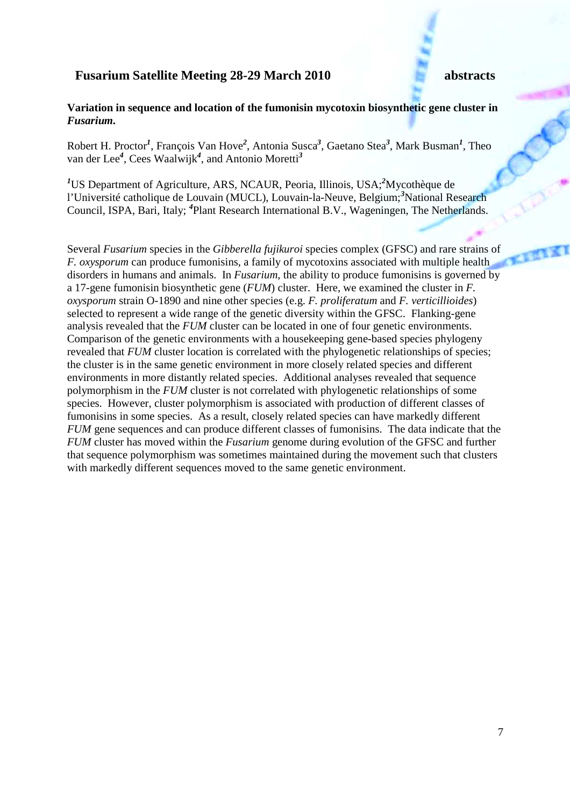### **Variation in sequence and location of the fumonisin mycotoxin biosynthetic gene cluster in**  *Fusarium.*

Robert H. Proctor*<sup>1</sup>* , François Van Hove*<sup>2</sup>* , Antonia Susca*<sup>3</sup>* , Gaetano Stea*<sup>3</sup>* , Mark Busman*<sup>1</sup>* , Theo van der Lee*<sup>4</sup>* , Cees Waalwijk*<sup>4</sup>* , and Antonio Moretti*<sup>3</sup>*

*<sup>1</sup>*US Department of Agriculture, ARS, NCAUR, Peoria, Illinois, USA;*<sup>2</sup>*Mycothèque de l'Université catholique de Louvain (MUCL), Louvain-la-Neuve, Belgium;*<sup>3</sup>*National Research Council, ISPA, Bari, Italy; *<sup>4</sup>* Plant Research International B.V., Wageningen, The Netherlands.

Several *Fusarium* species in the *Gibberella fujikuroi* species complex (GFSC) and rare strains of *F. oxysporum* can produce fumonisins, a family of mycotoxins associated with multiple health disorders in humans and animals. In *Fusarium*, the ability to produce fumonisins is governed by a 17-gene fumonisin biosynthetic gene (*FUM*) cluster. Here, we examined the cluster in *F. oxysporum* strain O-1890 and nine other species (e.g. *F. proliferatum* and *F. verticillioides*) selected to represent a wide range of the genetic diversity within the GFSC. Flanking-gene analysis revealed that the *FUM* cluster can be located in one of four genetic environments. Comparison of the genetic environments with a housekeeping gene-based species phylogeny revealed that *FUM* cluster location is correlated with the phylogenetic relationships of species; the cluster is in the same genetic environment in more closely related species and different environments in more distantly related species. Additional analyses revealed that sequence polymorphism in the *FUM* cluster is not correlated with phylogenetic relationships of some species. However, cluster polymorphism is associated with production of different classes of fumonisins in some species. As a result, closely related species can have markedly different *FUM* gene sequences and can produce different classes of fumonisins. The data indicate that the *FUM* cluster has moved within the *Fusarium* genome during evolution of the GFSC and further that sequence polymorphism was sometimes maintained during the movement such that clusters with markedly different sequences moved to the same genetic environment.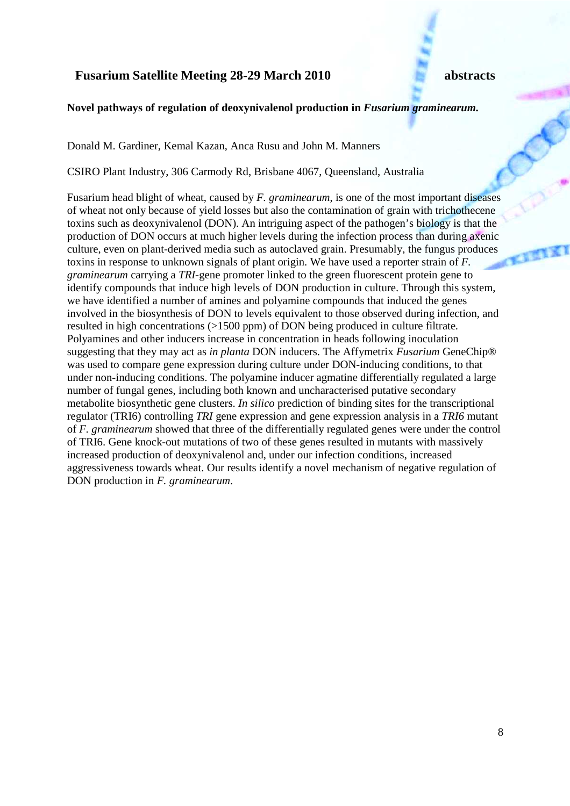### Novel pathways of regulation of deoxynivalenol production in *Fusarium graminearum*.

Donald M. Gardiner, Kemal Kazan, Anca Rusu and John M. Manners

CSIRO Plant Industry, 306 Carmody Rd, Brisbane 4067, Queensland, Australia

Fusarium head blight of wheat, caused by *F. graminearum*, is one of the most important diseases of wheat not only because of yield losses but also the contamination of grain with trichothecene toxins such as deoxynivalenol (DON). An intriguing aspect of the pathogen's biology is that the production of DON occurs at much higher levels during the infection process than during axenic culture, even on plant-derived media such as autoclaved grain. Presumably, the fungus produces toxins in response to unknown signals of plant origin. We have used a reporter strain of *F. graminearum* carrying a *TRI*-gene promoter linked to the green fluorescent protein gene to identify compounds that induce high levels of DON production in culture. Through this system, we have identified a number of amines and polyamine compounds that induced the genes involved in the biosynthesis of DON to levels equivalent to those observed during infection, and resulted in high concentrations (>1500 ppm) of DON being produced in culture filtrate. Polyamines and other inducers increase in concentration in heads following inoculation suggesting that they may act as *in planta* DON inducers. The Affymetrix *Fusarium* GeneChip® was used to compare gene expression during culture under DON-inducing conditions, to that under non-inducing conditions. The polyamine inducer agmatine differentially regulated a large number of fungal genes, including both known and uncharacterised putative secondary metabolite biosynthetic gene clusters. *In silico* prediction of binding sites for the transcriptional regulator (TRI6) controlling *TRI* gene expression and gene expression analysis in a *TRI6* mutant of *F. graminearum* showed that three of the differentially regulated genes were under the control of TRI6. Gene knock-out mutations of two of these genes resulted in mutants with massively increased production of deoxynivalenol and, under our infection conditions, increased aggressiveness towards wheat. Our results identify a novel mechanism of negative regulation of DON production in *F. graminearum*.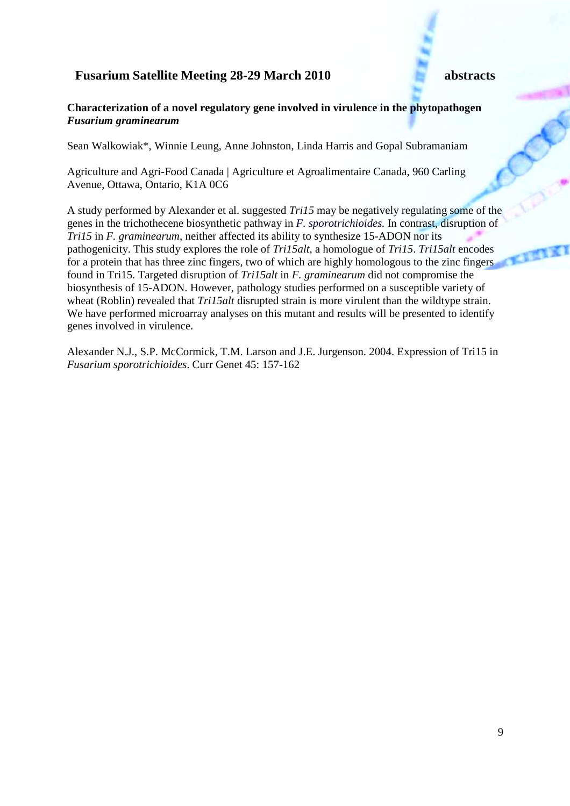### **Characterization of a novel regulatory gene involved in virulence in the phytopathogen**  *Fusarium graminearum*

Sean Walkowiak\*, Winnie Leung, Anne Johnston, Linda Harris and Gopal Subramaniam

Agriculture and Agri-Food Canada | Agriculture et Agroalimentaire Canada, 960 Carling Avenue, Ottawa, Ontario, K1A 0C6

A study performed by Alexander et al. suggested *Tri15* may be negatively regulating some of the genes in the trichothecene biosynthetic pathway in *F. sporotrichioides.* In contrast, disruption of *Tri15* in *F. graminearum*, neither affected its ability to synthesize 15-ADON nor its pathogenicity. This study explores the role of *Tri15alt*, a homologue of *Tri15*. *Tri15alt* encodes for a protein that has three zinc fingers, two of which are highly homologous to the zinc fingers found in Tri15. Targeted disruption of *Tri15alt* in *F. graminearum* did not compromise the biosynthesis of 15-ADON. However, pathology studies performed on a susceptible variety of wheat (Roblin) revealed that *Tri15alt* disrupted strain is more virulent than the wildtype strain. We have performed microarray analyses on this mutant and results will be presented to identify genes involved in virulence.

Alexander N.J., S.P. McCormick, T.M. Larson and J.E. Jurgenson. 2004. Expression of Tri15 in *Fusarium sporotrichioides*. Curr Genet 45: 157-162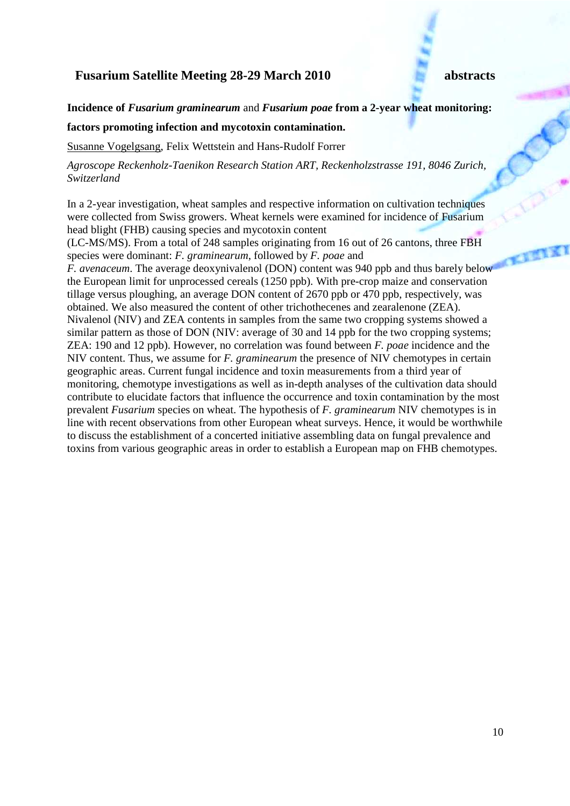**Incidence of** *Fusarium graminearum* and *Fusarium poae* **from a 2-year wheat monitoring:** 

### **factors promoting infection and mycotoxin contamination.**

Susanne Vogelgsang, Felix Wettstein and Hans-Rudolf Forrer

*Agroscope Reckenholz-Taenikon Research Station ART, Reckenholzstrasse 191, 8046 Zurich, Switzerland*

In a 2-year investigation, wheat samples and respective information on cultivation techniques were collected from Swiss growers. Wheat kernels were examined for incidence of Fusarium head blight (FHB) causing species and mycotoxin content

(LC-MS/MS). From a total of 248 samples originating from 16 out of 26 cantons, three FBH species were dominant: *F. graminearum*, followed by *F. poae* and

*F. avenaceum.* The average deoxynivalenol (DON) content was 940 ppb and thus barely below the European limit for unprocessed cereals (1250 ppb). With pre-crop maize and conservation tillage versus ploughing, an average DON content of 2670 ppb or 470 ppb, respectively, was obtained. We also measured the content of other trichothecenes and zearalenone (ZEA). Nivalenol (NIV) and ZEA contents in samples from the same two cropping systems showed a similar pattern as those of DON (NIV: average of 30 and 14 ppb for the two cropping systems; ZEA: 190 and 12 ppb). However, no correlation was found between *F. poae* incidence and the NIV content. Thus, we assume for *F. graminearum* the presence of NIV chemotypes in certain geographic areas. Current fungal incidence and toxin measurements from a third year of monitoring, chemotype investigations as well as in-depth analyses of the cultivation data should contribute to elucidate factors that influence the occurrence and toxin contamination by the most prevalent *Fusarium* species on wheat. The hypothesis of *F. graminearum* NIV chemotypes is in line with recent observations from other European wheat surveys. Hence, it would be worthwhile to discuss the establishment of a concerted initiative assembling data on fungal prevalence and toxins from various geographic areas in order to establish a European map on FHB chemotypes.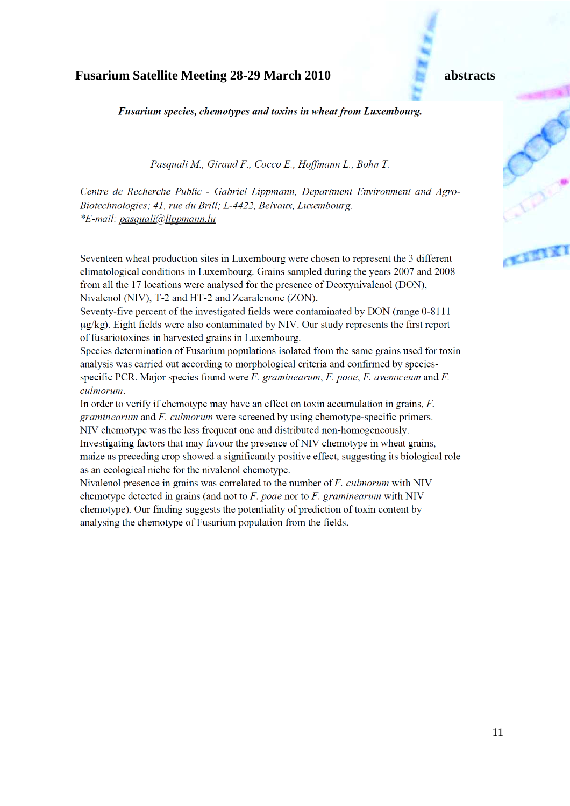Fusarium species, chemotypes and toxins in wheat from Luxembourg.

Pasquali M., Giraud F., Cocco E., Hoffmann L., Bohn T.

Centre de Recherche Public - Gabriel Lippmann, Department Environment and Agro-Biotechnologies; 41, rue du Brill; L-4422, Belvaux, Luxembourg. \*E-mail: pasquali@lippmann.lu

Seventeen wheat production sites in Luxembourg were chosen to represent the 3 different climatological conditions in Luxembourg. Grains sampled during the years 2007 and 2008 from all the 17 locations were analysed for the presence of Deoxynivalenol (DON), Nivalenol (NIV), T-2 and HT-2 and Zearalenone (ZON).

Seventy-five percent of the investigated fields were contaminated by DON (range 0-8111) ug/kg). Eight fields were also contaminated by NIV. Our study represents the first report of fusariotoxines in harvested grains in Luxembourg.

Species determination of Fusarium populations isolated from the same grains used for toxin analysis was carried out according to morphological criteria and confirmed by speciesspecific PCR. Major species found were  $F$ . graminearum,  $F$ . poae,  $F$ . avenaceum and  $F$ . culmorum.

In order to verify if chemotype may have an effect on toxin accumulation in grains,  $F$ . *graminearum* and *F. culmorum* were screened by using chemotype-specific primers. NIV chemotype was the less frequent one and distributed non-homogeneously.

Investigating factors that may favour the presence of NIV chemotype in wheat grains, maize as preceding crop showed a significantly positive effect, suggesting its biological role as an ecological niche for the nivalenol chemotype.

Nivalenol presence in grains was correlated to the number of  $F$ . *culmorum* with NIV chemotype detected in grains (and not to  $F$ . poae nor to  $F$ . graminearum with NIV chemotype). Our finding suggests the potentiality of prediction of toxin content by analysing the chemotype of Fusarium population from the fields.

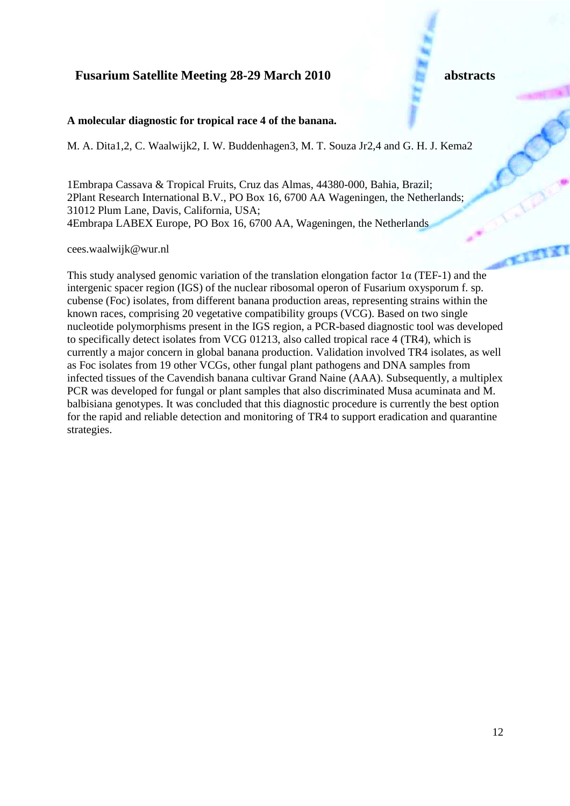### **A molecular diagnostic for tropical race 4 of the banana.**

M. A. Dita1,2, C. Waalwijk2, I. W. Buddenhagen3, M. T. Souza Jr2,4 and G. H. J. Kema2

1Embrapa Cassava & Tropical Fruits, Cruz das Almas, 44380-000, Bahia, Brazil; 2Plant Research International B.V., PO Box 16, 6700 AA Wageningen, the Netherlands; 31012 Plum Lane, Davis, California, USA; 4Embrapa LABEX Europe, PO Box 16, 6700 AA, Wageningen, the Netherlands

cees.waalwijk@wur.nl

This study analysed genomic variation of the translation elongation factor  $1\alpha$  (TEF-1) and the intergenic spacer region (IGS) of the nuclear ribosomal operon of Fusarium oxysporum f. sp. cubense (Foc) isolates, from different banana production areas, representing strains within the known races, comprising 20 vegetative compatibility groups (VCG). Based on two single nucleotide polymorphisms present in the IGS region, a PCR-based diagnostic tool was developed to specifically detect isolates from VCG 01213, also called tropical race 4 (TR4), which is currently a major concern in global banana production. Validation involved TR4 isolates, as well as Foc isolates from 19 other VCGs, other fungal plant pathogens and DNA samples from infected tissues of the Cavendish banana cultivar Grand Naine (AAA). Subsequently, a multiplex PCR was developed for fungal or plant samples that also discriminated Musa acuminata and M. balbisiana genotypes. It was concluded that this diagnostic procedure is currently the best option for the rapid and reliable detection and monitoring of TR4 to support eradication and quarantine strategies.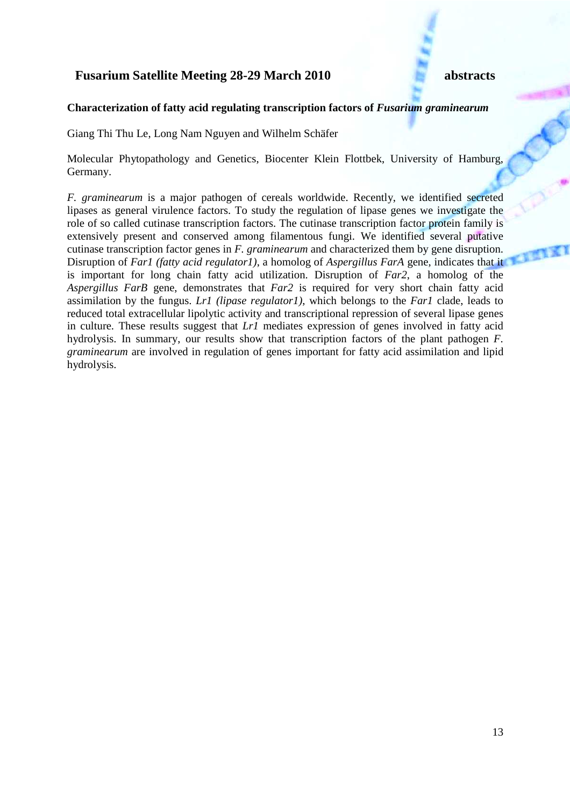### **Characterization of fatty acid regulating transcription factors of** *Fusarium graminearum*

Giang Thi Thu Le, Long Nam Nguyen and Wilhelm Schäfer

Molecular Phytopathology and Genetics, Biocenter Klein Flottbek, University of Hamburg, Germany.

*F. graminearum* is a major pathogen of cereals worldwide. Recently, we identified secreted lipases as general virulence factors. To study the regulation of lipase genes we investigate the role of so called cutinase transcription factors. The cutinase transcription factor protein family is extensively present and conserved among filamentous fungi. We identified several putative cutinase transcription factor genes in *F. graminearum* and characterized them by gene disruption. Disruption of *Far1 (fatty acid regulator1)*, a homolog of *Aspergillus FarA* gene, indicates that it is important for long chain fatty acid utilization. Disruption of *Far2*, a homolog of the *Aspergillus FarB* gene, demonstrates that *Far2* is required for very short chain fatty acid assimilation by the fungus. *Lr1 (lipase regulator1)*, which belongs to the *Far1* clade, leads to reduced total extracellular lipolytic activity and transcriptional repression of several lipase genes in culture. These results suggest that *Lr1* mediates expression of genes involved in fatty acid hydrolysis. In summary, our results show that transcription factors of the plant pathogen *F. graminearum* are involved in regulation of genes important for fatty acid assimilation and lipid hydrolysis.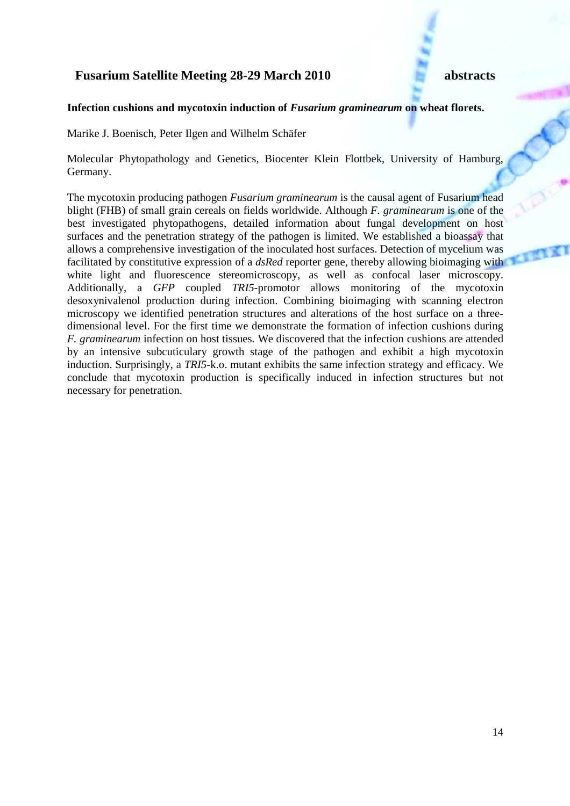### Infection cushions and mycotoxin induction of *Fusarium graminearum* on wheat florets.

Marike J. Boenisch, Peter Ilgen and Wilhelm Schäfer

Molecular Phytopathology and Genetics, Biocenter Klein Flottbek, University of Hamburg, Germany.

The mycotoxin producing pathogen *Fusarium graminearum* is the causal agent of Fusarium head blight (FHB) of small grain cereals on fields worldwide. Although *F. graminearum* is one of the best investigated phytopathogens, detailed information about fungal development on host surfaces and the penetration strategy of the pathogen is limited. We established a bioassay that allows a comprehensive investigation of the inoculated host surfaces. Detection of mycelium was facilitated by constitutive expression of a *dsRed* reporter gene, thereby allowing bioimaging with white light and fluorescence stereomicroscopy, as well as confocal laser microscopy. Additionally, a *GFP* coupled *TRI5*-promotor allows monitoring of the mycotoxin desoxynivalenol production during infection. Combining bioimaging with scanning electron microscopy we identified penetration structures and alterations of the host surface on a threedimensional level. For the first time we demonstrate the formation of infection cushions during *F. graminearum* infection on host tissues*.* We discovered that the infection cushions are attended by an intensive subcuticulary growth stage of the pathogen and exhibit a high mycotoxin induction. Surprisingly, a *TRI5*-k.o. mutant exhibits the same infection strategy and efficacy. We conclude that mycotoxin production is specifically induced in infection structures but not necessary for penetration.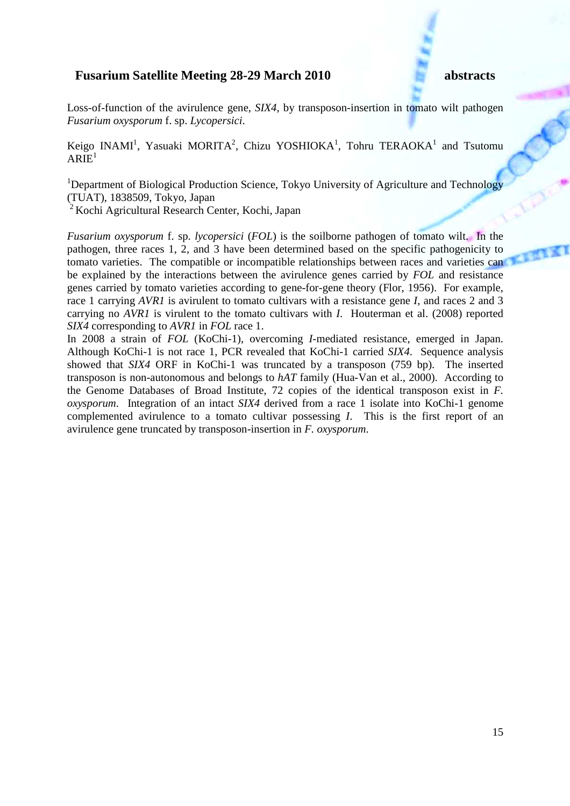Loss-of-function of the avirulence gene, *SIX4*, by transposon-insertion in tomato wilt pathogen *Fusarium oxysporum* f. sp. *Lycopersici*.

Keigo INAMI<sup>1</sup>, Yasuaki MORITA<sup>2</sup>, Chizu YOSHIOKA<sup>1</sup>, Tohru TERAOKA<sup>1</sup> and Tsutomu  $ARIE<sup>1</sup>$ 

<sup>1</sup>Department of Biological Production Science, Tokyo University of Agriculture and Technology (TUAT), 1838509, Tokyo, Japan

 $2 K$ ochi Agricultural Research Center, Kochi, Japan

*Fusarium oxysporum* f. sp. *lycopersici* (*FOL*) is the soilborne pathogen of tomato wilt. In the pathogen, three races 1, 2, and 3 have been determined based on the specific pathogenicity to tomato varieties. The compatible or incompatible relationships between races and varieties can be explained by the interactions between the avirulence genes carried by *FOL* and resistance genes carried by tomato varieties according to gene-for-gene theory (Flor, 1956). For example, race 1 carrying *AVR1* is avirulent to tomato cultivars with a resistance gene *I*, and races 2 and 3 carrying no *AVR1* is virulent to the tomato cultivars with *I*. Houterman et al. (2008) reported *SIX4* corresponding to *AVR1* in *FOL* race 1.

In 2008 a strain of *FOL* (KoChi-1), overcoming *I*-mediated resistance, emerged in Japan. Although KoChi-1 is not race 1, PCR revealed that KoChi-1 carried *SIX4*. Sequence analysis showed that *SIX4* ORF in KoChi-1 was truncated by a transposon (759 bp). The inserted transposon is non-autonomous and belongs to *hAT* family (Hua-Van et al., 2000). According to the Genome Databases of Broad Institute, 72 copies of the identical transposon exist in *F. oxysporum*. Integration of an intact *SIX4* derived from a race 1 isolate into KoChi-1 genome complemented avirulence to a tomato cultivar possessing *I*. This is the first report of an avirulence gene truncated by transposon-insertion in *F. oxysporum*.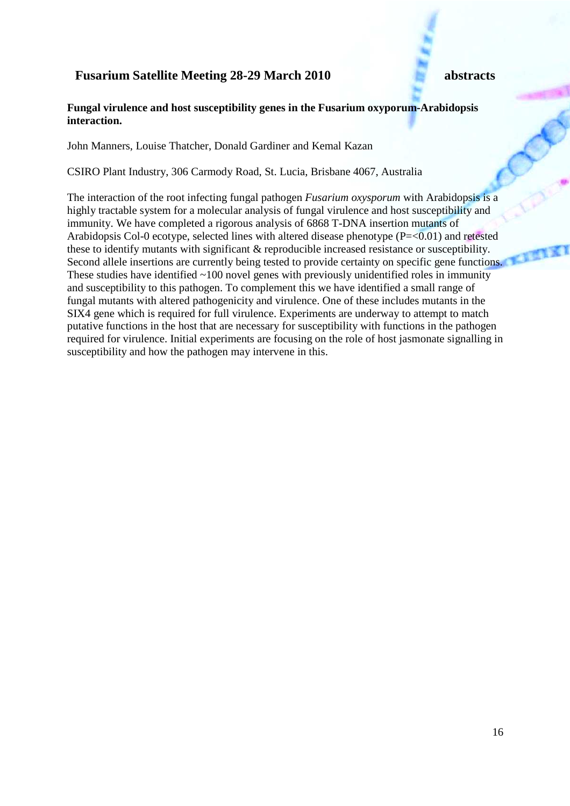### **Fungal virulence and host susceptibility genes in the Fusarium oxyporum-Arabidopsis interaction.**

John Manners, Louise Thatcher, Donald Gardiner and Kemal Kazan

CSIRO Plant Industry, 306 Carmody Road, St. Lucia, Brisbane 4067, Australia

The interaction of the root infecting fungal pathogen *Fusarium oxysporum* with Arabidopsis is a highly tractable system for a molecular analysis of fungal virulence and host susceptibility and immunity. We have completed a rigorous analysis of 6868 T-DNA insertion mutants of Arabidopsis Col-0 ecotype, selected lines with altered disease phenotype  $(P=<0.01)$  and retested these to identify mutants with significant & reproducible increased resistance or susceptibility. Second allele insertions are currently being tested to provide certainty on specific gene functions. These studies have identified  $~100$  novel genes with previously unidentified roles in immunity and susceptibility to this pathogen. To complement this we have identified a small range of fungal mutants with altered pathogenicity and virulence. One of these includes mutants in the SIX4 gene which is required for full virulence. Experiments are underway to attempt to match putative functions in the host that are necessary for susceptibility with functions in the pathogen required for virulence. Initial experiments are focusing on the role of host jasmonate signalling in susceptibility and how the pathogen may intervene in this.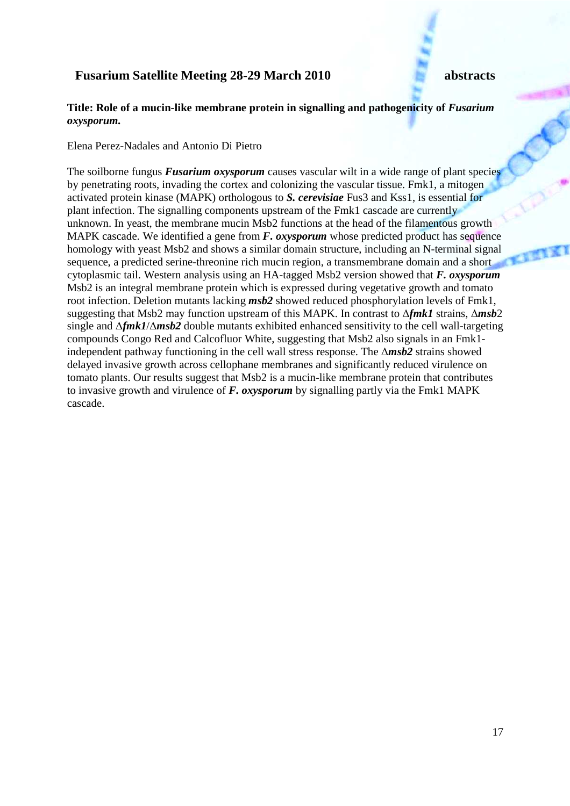### **Title: Role of a mucin-like membrane protein in signalling and pathogenicity of** *Fusarium oxysporum.*

Elena Perez-Nadales and Antonio Di Pietro

The soilborne fungus *Fusarium oxysporum* causes vascular wilt in a wide range of plant species by penetrating roots, invading the cortex and colonizing the vascular tissue. Fmk1, a mitogen activated protein kinase (MAPK) orthologous to *S. cerevisiae* Fus3 and Kss1, is essential for plant infection. The signalling components upstream of the Fmk1 cascade are currently unknown. In yeast, the membrane mucin Msb2 functions at the head of the filamentous growth MAPK cascade. We identified a gene from *F. oxysporum* whose predicted product has sequence homology with yeast Msb2 and shows a similar domain structure, including an N-terminal signal sequence, a predicted serine-threonine rich mucin region, a transmembrane domain and a short cytoplasmic tail. Western analysis using an HA-tagged Msb2 version showed that *F. oxysporum* Msb2 is an integral membrane protein which is expressed during vegetative growth and tomato root infection. Deletion mutants lacking *msb2* showed reduced phosphorylation levels of Fmk1, suggesting that Msb2 may function upstream of this MAPK. In contrast to ∆*fmk1* strains, ∆*msb*2 single and ∆*fmk1*/∆*msb2* double mutants exhibited enhanced sensitivity to the cell wall-targeting compounds Congo Red and Calcofluor White, suggesting that Msb2 also signals in an Fmk1 independent pathway functioning in the cell wall stress response. The ∆*msb2* strains showed delayed invasive growth across cellophane membranes and significantly reduced virulence on tomato plants. Our results suggest that Msb2 is a mucin-like membrane protein that contributes to invasive growth and virulence of *F. oxysporum* by signalling partly via the Fmk1 MAPK cascade.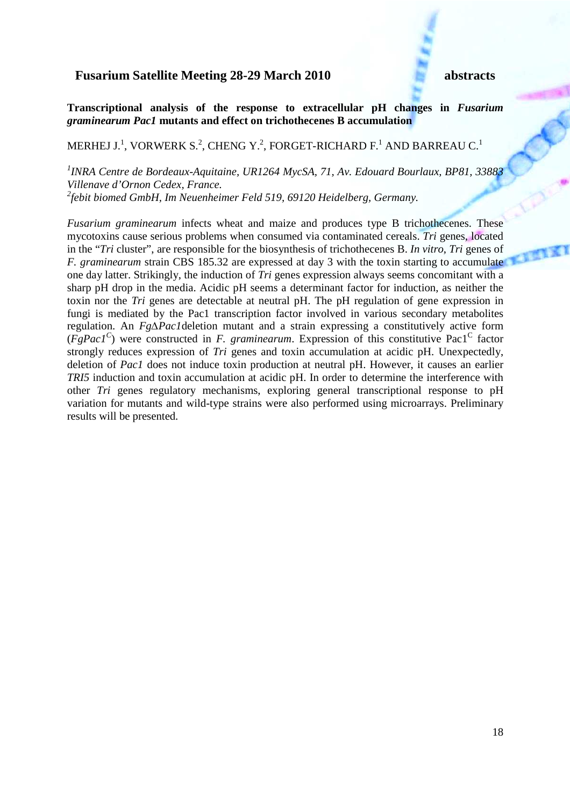**Transcriptional analysis of the response to extracellular pH changes in** *Fusarium graminearum Pac1* **mutants and effect on trichothecenes B accumulation** 

## MERHEJ J.<sup>1</sup>, VORWERK S.<sup>2</sup>, CHENG Y.<sup>2</sup>, FORGET-RICHARD F.<sup>1</sup> AND BARREAU C.<sup>1</sup>

*1 INRA Centre de Bordeaux-Aquitaine, UR1264 MycSA, 71, Av. Edouard Bourlaux, BP81, 33883 Villenave d'Ornon Cedex, France. 2 febit biomed GmbH, Im Neuenheimer Feld 519, 69120 Heidelberg, Germany.* 

*Fusarium graminearum* infects wheat and maize and produces type B trichothecenes. These mycotoxins cause serious problems when consumed via contaminated cereals. *Tri* genes, located in the "*Tri* cluster", are responsible for the biosynthesis of trichothecenes B. *In vitro*, *Tri* genes of *F. graminearum* strain CBS 185.32 are expressed at day 3 with the toxin starting to accumulate one day latter. Strikingly, the induction of *Tri* genes expression always seems concomitant with a sharp pH drop in the media. Acidic pH seems a determinant factor for induction, as neither the toxin nor the *Tri* genes are detectable at neutral pH. The pH regulation of gene expression in fungi is mediated by the Pac1 transcription factor involved in various secondary metabolites regulation. An *Fg∆Pac1*deletion mutant and a strain expressing a constitutively active form  $(FgPac1<sup>C</sup>)$  were constructed in *F. graminearum*. Expression of this constitutive Pac1<sup>C</sup> factor strongly reduces expression of *Tri* genes and toxin accumulation at acidic pH. Unexpectedly, deletion of *Pac1* does not induce toxin production at neutral pH. However, it causes an earlier *TRI5* induction and toxin accumulation at acidic pH. In order to determine the interference with other *Tri* genes regulatory mechanisms, exploring general transcriptional response to pH variation for mutants and wild-type strains were also performed using microarrays. Preliminary results will be presented.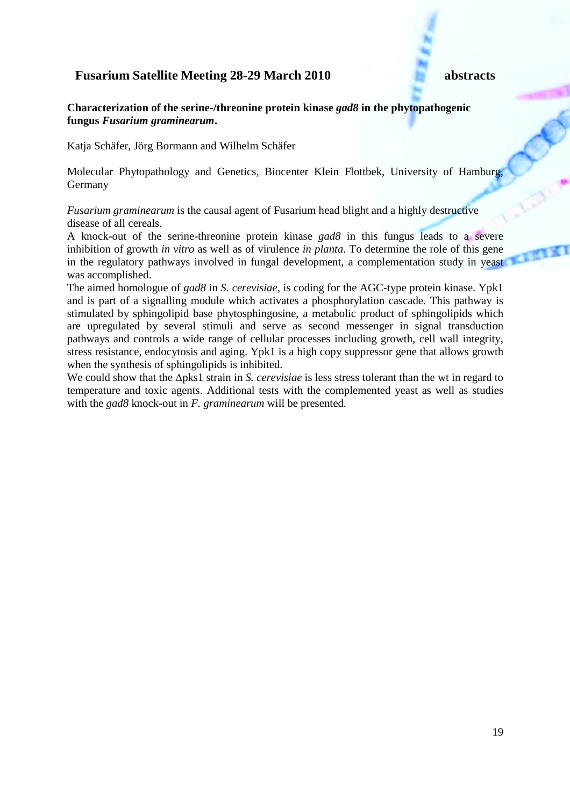### **Characterization of the serine-/threonine protein kinase** *gad8* **in the phytopathogenic fungus** *Fusarium graminearum***.**

Katja Schäfer, Jörg Bormann and Wilhelm Schäfer

Molecular Phytopathology and Genetics, Biocenter Klein Flottbek, University of Hamburg, Germany

*Fusarium graminearum* is the causal agent of Fusarium head blight and a highly destructive disease of all cereals.

A knock-out of the serine-threonine protein kinase *gad8* in this fungus leads to a severe inhibition of growth *in vitro* as well as of virulence *in planta*. To determine the role of this gene in the regulatory pathways involved in fungal development, a complementation study in yeast was accomplished.

The aimed homologue of *gad8* in *S. cerevisiae*, is coding for the AGC-type protein kinase. Ypk1 and is part of a signalling module which activates a phosphorylation cascade. This pathway is stimulated by sphingolipid base phytosphingosine, a metabolic product of sphingolipids which are upregulated by several stimuli and serve as second messenger in signal transduction pathways and controls a wide range of cellular processes including growth, cell wall integrity, stress resistance, endocytosis and aging. Ypk1 is a high copy suppressor gene that allows growth when the synthesis of sphingolipids is inhibited.

We could show that the ∆pks1 strain in *S. cerevisiae* is less stress tolerant than the wt in regard to temperature and toxic agents. Additional tests with the complemented yeast as well as studies with the *gad8* knock-out in *F. graminearum* will be presented.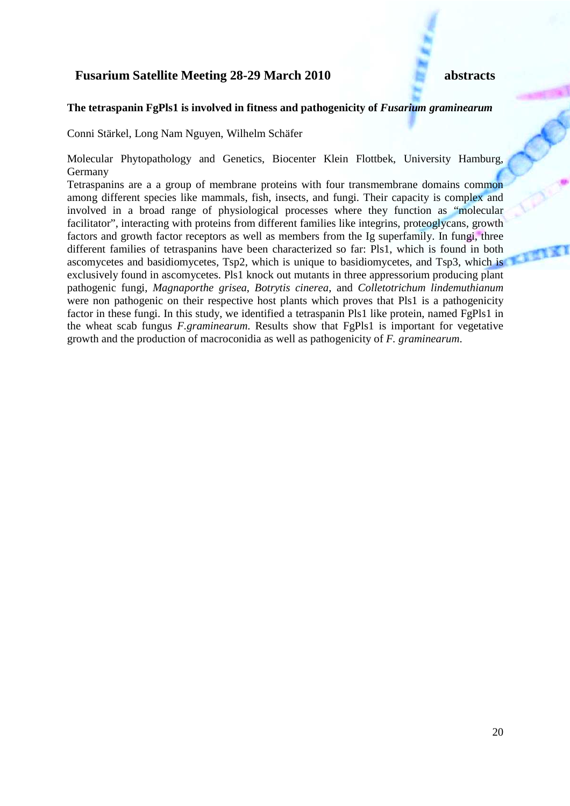### The tetraspanin FgPls1 is involved in fitness and pathogenicity of *Fusarium graminearum*

Conni Stärkel, Long Nam Nguyen, Wilhelm Schäfer

Molecular Phytopathology and Genetics, Biocenter Klein Flottbek, University Hamburg, Germany

Tetraspanins are a a group of membrane proteins with four transmembrane domains common among different species like mammals, fish, insects, and fungi. Their capacity is complex and involved in a broad range of physiological processes where they function as "molecular facilitator", interacting with proteins from different families like integrins, proteoglycans, growth factors and growth factor receptors as well as members from the Ig superfamily. In fungi, three different families of tetraspanins have been characterized so far: Pls1, which is found in both ascomycetes and basidiomycetes, Tsp2, which is unique to basidiomycetes, and Tsp3, which is exclusively found in ascomycetes. Pls1 knock out mutants in three appressorium producing plant pathogenic fungi, *Magnaporthe grisea*, *Botrytis cinerea*, and *Colletotrichum lindemuthianum* were non pathogenic on their respective host plants which proves that Pls1 is a pathogenicity factor in these fungi. In this study, we identified a tetraspanin Pls1 like protein, named FgPls1 in the wheat scab fungus *F.graminearum*. Results show that FgPls1 is important for vegetative growth and the production of macroconidia as well as pathogenicity of *F. graminearum*.